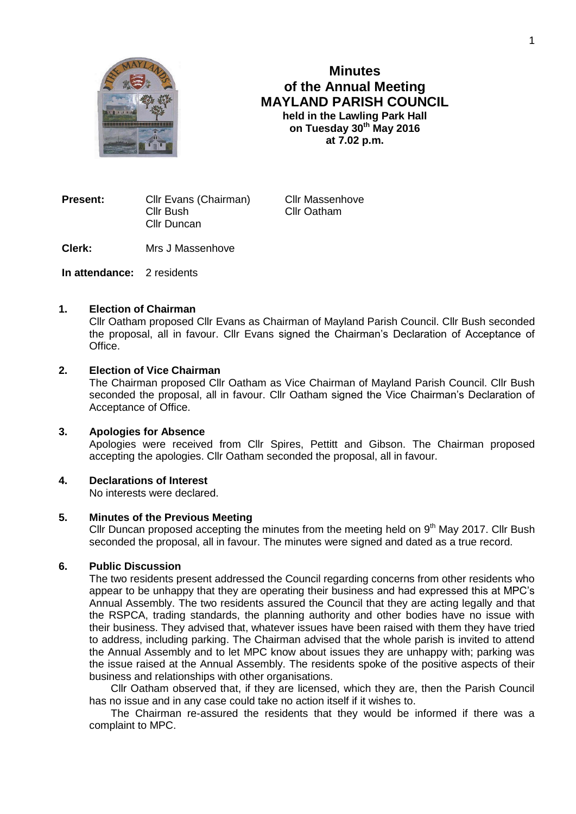

# **Minutes of the Annual Meeting MAYLAND PARISH COUNCIL held in the Lawling Park Hall on Tuesday 30th May 2016 at 7.02 p.m.**

**Present:** Cllr Evans (Chairman) Cllr Massenhove Cllr Bush Cllr Oatham Cllr Duncan

**Clerk:** Mrs J Massenhove

**In attendance:** 2 residents

#### **1. Election of Chairman**

Cllr Oatham proposed Cllr Evans as Chairman of Mayland Parish Council. Cllr Bush seconded the proposal, all in favour. Cllr Evans signed the Chairman's Declaration of Acceptance of Office.

### **2. Election of Vice Chairman**

The Chairman proposed Cllr Oatham as Vice Chairman of Mayland Parish Council. Cllr Bush seconded the proposal, all in favour. Cllr Oatham signed the Vice Chairman's Declaration of Acceptance of Office.

#### **3. Apologies for Absence**

Apologies were received from Cllr Spires, Pettitt and Gibson. The Chairman proposed accepting the apologies. Cllr Oatham seconded the proposal, all in favour.

#### **4. Declarations of Interest**

No interests were declared.

### **5. Minutes of the Previous Meeting**

Cllr Duncan proposed accepting the minutes from the meeting held on  $9<sup>th</sup>$  May 2017. Cllr Bush seconded the proposal, all in favour. The minutes were signed and dated as a true record.

# **6. Public Discussion**

The two residents present addressed the Council regarding concerns from other residents who appear to be unhappy that they are operating their business and had expressed this at MPC's Annual Assembly. The two residents assured the Council that they are acting legally and that the RSPCA, trading standards, the planning authority and other bodies have no issue with their business. They advised that, whatever issues have been raised with them they have tried to address, including parking. The Chairman advised that the whole parish is invited to attend the Annual Assembly and to let MPC know about issues they are unhappy with; parking was the issue raised at the Annual Assembly. The residents spoke of the positive aspects of their business and relationships with other organisations.

Cllr Oatham observed that, if they are licensed, which they are, then the Parish Council has no issue and in any case could take no action itself if it wishes to.

The Chairman re-assured the residents that they would be informed if there was a complaint to MPC.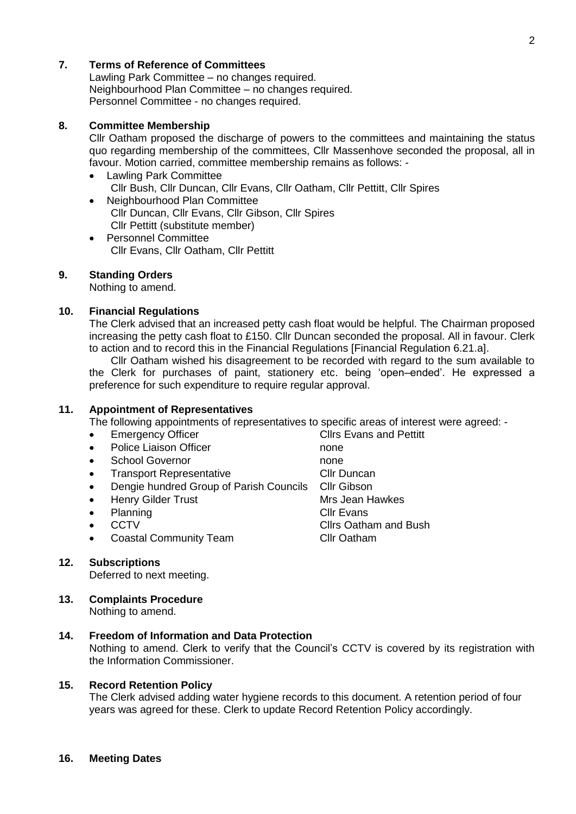# **7. Terms of Reference of Committees**

Lawling Park Committee – no changes required. Neighbourhood Plan Committee – no changes required. Personnel Committee - no changes required.

### **8. Committee Membership**

Cllr Oatham proposed the discharge of powers to the committees and maintaining the status quo regarding membership of the committees, Cllr Massenhove seconded the proposal, all in favour. Motion carried, committee membership remains as follows: -

- Lawling Park Committee Cllr Bush, Cllr Duncan, Cllr Evans, Cllr Oatham, Cllr Pettitt, Cllr Spires
- Neighbourhood Plan Committee Cllr Duncan, Cllr Evans, Cllr Gibson, Cllr Spires Cllr Pettitt (substitute member)
- Personnel Committee Cllr Evans, Cllr Oatham, Cllr Pettitt

### **9. Standing Orders**

Nothing to amend.

#### **10. Financial Regulations**

The Clerk advised that an increased petty cash float would be helpful. The Chairman proposed increasing the petty cash float to £150. Cllr Duncan seconded the proposal. All in favour. Clerk to action and to record this in the Financial Regulations [Financial Regulation 6.21.a].

Cllr Oatham wished his disagreement to be recorded with regard to the sum available to the Clerk for purchases of paint, stationery etc. being 'open–ended'. He expressed a preference for such expenditure to require regular approval.

# **11. Appointment of Representatives**

The following appointments of representatives to specific areas of interest were agreed: -

- Emergency Officer Clirs Evans and Pettitt
- Police Liaison Officer none
- School Governor **none**
- Transport Representative Cllr Duncan
- Dengie hundred Group of Parish Councils Cllr Gibson
- Henry Gilder Trust Mrs Jean Hawkes
- 
- 
- Coastal Community Team Cllr Oatham

# **12. Subscriptions**

Deferred to next meeting.

#### **13. Complaints Procedure** Nothing to amend.

### **14. Freedom of Information and Data Protection**

Nothing to amend. Clerk to verify that the Council's CCTV is covered by its registration with the Information Commissioner.

#### **15. Record Retention Policy**

The Clerk advised adding water hygiene records to this document. A retention period of four years was agreed for these. Clerk to update Record Retention Policy accordingly.

#### **16. Meeting Dates**

Planning Clir Evans CCTV CCTV Clirs Oatham and Bush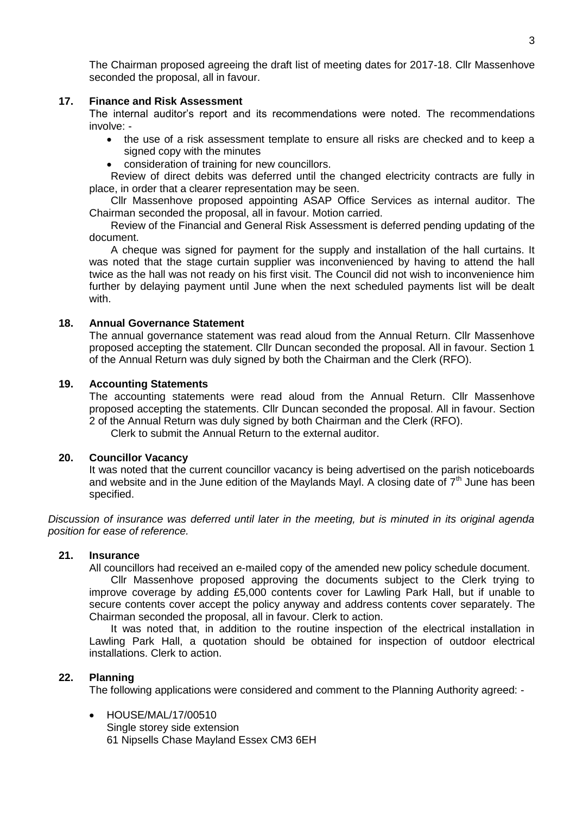The Chairman proposed agreeing the draft list of meeting dates for 2017-18. Cllr Massenhove seconded the proposal, all in favour.

### **17. Finance and Risk Assessment**

The internal auditor's report and its recommendations were noted. The recommendations involve: -

- the use of a risk assessment template to ensure all risks are checked and to keep a signed copy with the minutes
- consideration of training for new councillors.

Review of direct debits was deferred until the changed electricity contracts are fully in place, in order that a clearer representation may be seen.

Cllr Massenhove proposed appointing ASAP Office Services as internal auditor. The Chairman seconded the proposal, all in favour. Motion carried.

Review of the Financial and General Risk Assessment is deferred pending updating of the document.

A cheque was signed for payment for the supply and installation of the hall curtains. It was noted that the stage curtain supplier was inconvenienced by having to attend the hall twice as the hall was not ready on his first visit. The Council did not wish to inconvenience him further by delaying payment until June when the next scheduled payments list will be dealt with.

### **18. Annual Governance Statement**

The annual governance statement was read aloud from the Annual Return. Cllr Massenhove proposed accepting the statement. Cllr Duncan seconded the proposal. All in favour. Section 1 of the Annual Return was duly signed by both the Chairman and the Clerk (RFO).

### **19. Accounting Statements**

The accounting statements were read aloud from the Annual Return. Cllr Massenhove proposed accepting the statements. Cllr Duncan seconded the proposal. All in favour. Section 2 of the Annual Return was duly signed by both Chairman and the Clerk (RFO). Clerk to submit the Annual Return to the external auditor.

# **20. Councillor Vacancy**

It was noted that the current councillor vacancy is being advertised on the parish noticeboards and website and in the June edition of the Maylands Mayl. A closing date of  $7<sup>th</sup>$  June has been specified.

*Discussion of insurance was deferred until later in the meeting, but is minuted in its original agenda position for ease of reference.*

#### **21. Insurance**

All councillors had received an e-mailed copy of the amended new policy schedule document.

Cllr Massenhove proposed approving the documents subject to the Clerk trying to improve coverage by adding £5,000 contents cover for Lawling Park Hall, but if unable to secure contents cover accept the policy anyway and address contents cover separately. The Chairman seconded the proposal, all in favour. Clerk to action.

It was noted that, in addition to the routine inspection of the electrical installation in Lawling Park Hall, a quotation should be obtained for inspection of outdoor electrical installations. Clerk to action.

# **22. Planning**

The following applications were considered and comment to the Planning Authority agreed: -

 HOUSE/MAL/17/00510 Single storey side extension 61 Nipsells Chase Mayland Essex CM3 6EH